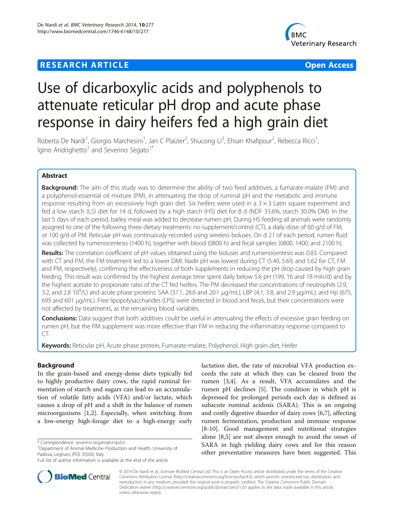# **RESEARCH ARTICLE Example 2014 12:30 THE Open Access**



# Use of dicarboxylic acids and polyphenols to attenuate reticular pH drop and acute phase response in dairy heifers fed a high grain diet

Roberta De Nardi<sup>1</sup>, Giorgio Marchesini<sup>1</sup>, Jan C Plaizier<sup>2</sup>, Shucong Li<sup>2</sup>, Ehsan Khafipour<sup>2</sup>, Rebecca Ricci<sup>1</sup> , Igino Andrighetto<sup>1</sup> and Severino Segato<sup>1\*</sup>

# Abstract

Background: The aim of this study was to determine the ability of two feed additives, a fumarate-malate (FM) and a polyphenol-essential oil mixture (PM), in attenuating the drop of ruminal pH and the metabolic and immune response resulting from an excessively high grain diet. Six heifers were used in a  $3 \times 3$  Latin square experiment and fed a low starch (LS) diet for 14 d, followed by a high starch (HS) diet for 8 d (NDF 33.6%, starch 30.0% DM). In the last 5 days of each period, barley meal was added to decrease rumen pH. During HS feeding all animals were randomly assigned to one of the following three dietary treatments: no supplement/control (CT), a daily dose of 60 g/d of FM, or 100 g/d of PM. Reticular pH was continuously recorded using wireless boluses. On d 21 of each period, rumen fluid was collected by rumenocentesis (1400 h), together with blood (0800 h) and fecal samples (0800, 1400, and 2100 h).

Results: The correlation coefficient of pH values obtained using the boluses and rumenocentesis was 0.83. Compared with CT and PM, the FM treatment led to a lower DMI. Nadir pH was lowest during CT (5.40, 5.69, and 5.62 for CT, FM and PM, respectively), confirming the effectiveness of both supplements in reducing the pH drop caused by high grain feeding. This result was confirmed by the highest average time spent daily below 5.6 pH (199, 16 and 18 min/d) and by the highest acetate to propionate ratio of the CT fed heifers. The PM decreased the concentrations of neutrophils (2.9, 3.2, and 2.8 10<sup>9</sup>/L) and acute phase proteins: SAA (37.1, 28.6 and 20.1 µg/mL), LBP (4.1, 3.8, and 2.9 µg/mL), and Hp (675, 695 and 601 μg/mL). Free lipopolysaccharides (LPS) were detected in blood and feces, but their concentrations were not affected by treatments, as the remaining blood variables.

Conclusions: Data suggest that both additives could be useful in attenuating the effects of excessive grain feeding on rumen pH, but the PM supplement was more effective than FM in reducing the inflammatory response compared to CT.

Keywords: Reticular pH, Acute phase protein, Fumarate-malate, Polyphenol, High grain diet, Heifer

# Background

In the grain-based and energy-dense diets typically fed to highly productive dairy cows, the rapid ruminal fermentation of starch and sugars can lead to an accumulation of volatile fatty acids (VFA) and/or lactate, which causes a drop of pH and a shift in the balance of rumen microorganisms [\[1,2](#page-6-0)]. Especially, when switching from a low-energy high-forage diet to a high-energy early

Full list of author information is available at the end of the article





© 2014 De Nardi et al.; licensee BioMed Central Ltd. This is an Open Access article distributed under the terms of the Creative Commons Attribution License [\(http://creativecommons.org/licenses/by/4.0\)](http://creativecommons.org/licenses/by/4.0), which permits unrestricted use, distribution, and reproduction in any medium, provided the original work is properly credited. The Creative Commons Public Domain Dedication waiver [\(http://creativecommons.org/publicdomain/zero/1.0/](http://creativecommons.org/publicdomain/zero/1.0/)) applies to the data made available in this article, unless otherwise stated.

<sup>\*</sup> Correspondence: [severino.segato@unipd.it](mailto:severino.segato@unipd.it) <sup>1</sup>

<sup>&</sup>lt;sup>1</sup>Department of Animal Medicine Production and Health, University of Padova, Legnaro (PD) 35020, Italy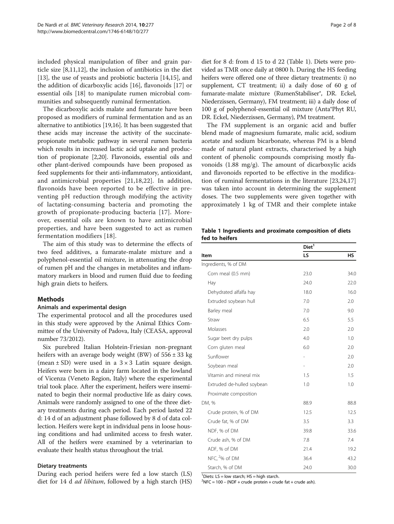<span id="page-1-0"></span>included physical manipulation of fiber and grain particle size [\[8](#page-6-0)[,11,12](#page-7-0)], the inclusion of antibiotics in the diet [[13\]](#page-7-0), the use of yeasts and probiotic bacteria [\[14,15](#page-7-0)], and the addition of dicarboxylic acids [[16](#page-7-0)], flavonoids [[17](#page-7-0)] or essential oils [[18](#page-7-0)] to manipulate rumen microbial communities and subsequently ruminal fermentation.

The dicarboxylic acids malate and fumarate have been proposed as modifiers of ruminal fermentation and as an alternative to antibiotics [\[19,16\]](#page-7-0). It has been suggested that these acids may increase the activity of the succinatepropionate metabolic pathway in several rumen bacteria which results in increased lactic acid uptake and production of propionate [[2,](#page-6-0)[20](#page-7-0)]. Flavonoids, essential oils and other plant-derived compounds have been proposed as feed supplements for their anti-inflammatory, antioxidant, and antimicrobial properties [[21](#page-7-0),[18,22](#page-7-0)]. In addition, flavonoids have been reported to be effective in preventing pH reduction through modifying the activity of lactating-consuming bacteria and promoting the growth of propionate-producing bacteria [\[17\]](#page-7-0). Moreover, essential oils are known to have antimicrobial properties, and have been suggested to act as rumen fermentation modifiers [\[18\]](#page-7-0).

The aim of this study was to determine the effects of two feed additives, a fumarate-malate mixture and a polyphenol-essential oil mixture, in attenuating the drop of rumen pH and the changes in metabolites and inflammatory markers in blood and rumen fluid due to feeding high grain diets to heifers.

# **Methods**

# Animals and experimental design

The experimental protocol and all the procedures used in this study were approved by the Animal Ethics Committee of the University of Padova, Italy (CEASA, approval number 73/2012).

Six purebred Italian Holstein-Friesian non-pregnant heifers with an average body weight (BW) of  $556 \pm 33$  kg (mean  $\pm$  SD) were used in a  $3 \times 3$  Latin square design. Heifers were born in a dairy farm located in the lowland of Vicenza (Veneto Region, Italy) where the experimental trial took place. After the experiment, heifers were inseminated to begin their normal productive life as dairy cows. Animals were randomly assigned to one of the three dietary treatments during each period. Each period lasted 22 d: 14 d of an adjustment phase followed by 8 d of data collection. Heifers were kept in individual pens in loose housing conditions and had unlimited access to fresh water. All of the heifers were examined by a veterinarian to evaluate their health status throughout the trial.

# Dietary treatments

During each period heifers were fed a low starch (LS) diet for 14 d *ad libitum*, followed by a high starch (HS) diet for 8 d: from d 15 to d 22 (Table 1). Diets were provided as TMR once daily at 0800 h. During the HS feeding heifers were offered one of three dietary treatments: i) no supplement, CT treatment; ii) a daily dose of 60 g of fumarate-malate mixture (RumenStabiliser®, DR. Eckel, Niederzissen, Germany), FM treatment; iii) a daily dose of 100 g of polyphenol-essential oil mixture (Anta®Phyt RU, DR. Eckel, Niederzissen, Germany), PM treatment.

The FM supplement is an organic acid and buffer blend made of magnesium fumarate, malic acid, sodium acetate and sodium bicarbonate, whereas PM is a blend made of natural plant extracts, characterised by a high content of phenolic compounds comprising mostly flavonoids (1.88 mg/g). The amount of dicarboxylic acids and flavonoids reported to be effective in the modification of ruminal fermentations in the literature [[23](#page-7-0),[24](#page-7-0),[17](#page-7-0)] was taken into account in determining the supplement doses. The two supplements were given together with approximately 1 kg of TMR and their complete intake

|                | Table 1 Ingredients and proximate composition of diets |  |
|----------------|--------------------------------------------------------|--|
| fed to heifers |                                                        |  |

|                            | Diet <sup>1</sup>        |           |
|----------------------------|--------------------------|-----------|
| Item                       | LS                       | <b>HS</b> |
| Ingredients, % of DM       |                          |           |
| Corn meal (0.5 mm)         | 23.0                     | 34.0      |
| Hay                        | 24.0                     | 22.0      |
| Dehydrated alfalfa hay     | 18.0                     | 16.0      |
| Extruded soybean hull      | 7.0                      | 2.0       |
| Barley meal                | 7.0                      | 9.0       |
| Straw                      | 6.5                      | 5.5       |
| Molasses                   | 2.0                      | 2.0       |
| Sugar beet dry pulps       | 4.0                      | 1.0       |
| Corn gluten meal           | 6.0                      | 2.0       |
| Sunflower                  |                          | 2.0       |
| Soybean meal               | $\overline{\phantom{0}}$ | 2.0       |
| Vitamin and mineral mix    | 1.5                      | 1.5       |
| Extruded de-hulled soybean | 1.0                      | 1.0       |
| Proximate composition      |                          |           |
| DM. %                      | 88.9                     | 88.8      |
| Crude protein, % of DM     | 12.5                     | 12.5      |
| Crude fat, % of DM         | 3.5                      | 3.3       |
| NDF, % of DM               | 39.8                     | 33.6      |
| Crude ash, % of DM         | 7.8                      | 7.4       |
| ADF, % of DM               | 21.4                     | 19.2      |
| NFC, <sup>2</sup> % of DM  | 36.4                     | 43.2      |
| Starch, % of DM            | 24.0                     | 30.0      |

 $<sup>1</sup>$  Diets: LS = low starch; HS = high starch.</sup>

 $2$ NFC = 100 – (NDF + crude protein + crude fat + crude ash).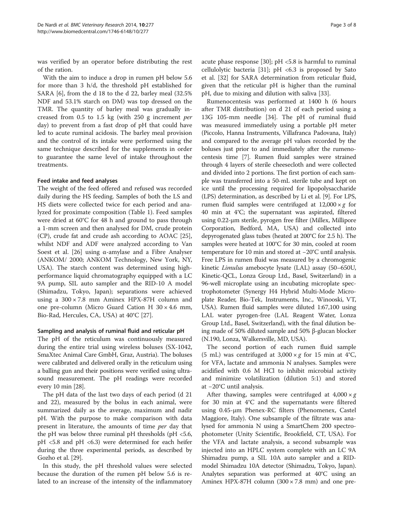was verified by an operator before distributing the rest of the ration.

With the aim to induce a drop in rumen pH below 5.6 for more than 3 h/d, the threshold pH established for SARA [\[6](#page-6-0)], from the d 18 to the d 22, barley meal (32.5% NDF and 53.1% starch on DM) was top dressed on the TMR. The quantity of barley meal was gradually increased from 0.5 to 1.5 kg (with 250 g increment per day) to prevent from a fast drop of pH that could have led to acute ruminal acidosis. The barley meal provision and the control of its intake were performed using the same technique described for the supplements in order to guarantee the same level of intake throughout the treatments.

# Feed intake and feed analyses

The weight of the feed offered and refused was recorded daily during the HS feeding. Samples of both the LS and HS diets were collected twice for each period and analyzed for proximate composition (Table [1](#page-1-0)). Feed samples were dried at 60°C for 48 h and ground to pass through a 1-mm screen and then analysed for DM, crude protein (CP), crude fat and crude ash according to AOAC [\[25](#page-7-0)], whilst NDF and ADF were analyzed according to Van Soest et al. [[26](#page-7-0)] using α-amylase and a Fibre Analyser (ANKOM/ 2000; ANKOM Technology, New York, NY, USA). The starch content was determined using highperformance liquid chromatography equipped with a LC 9A pump, SIL auto sampler and the RID-10 A model (Shimadzu, Tokyo, Japan); separations were achieved using a 300 × 7.8 mm Aminex HPX-87H column and one pre-column (Micro Guard Cation H 30 × 4.6 mm, Bio-Rad, Hercules, CA, USA) at 40°C [\[27](#page-7-0)].

#### Sampling and analysis of ruminal fluid and reticular pH

The pH of the reticulum was continuously measured during the entire trial using wireless boluses (SX-1042, SmaXtec Animal Care GmbH, Graz, Austria). The boluses were calibrated and delivered orally in the reticulum using a balling gun and their positions were verified using ultrasound measurement. The pH readings were recorded every 10 min [\[28\]](#page-7-0).

The pH data of the last two days of each period (d 21 and 22), measured by the bolus in each animal, were summarized daily as the average, maximum and nadir pH. With the purpose to make comparison with data present in literature, the amounts of time per day that the pH was below three ruminal pH thresholds (pH <5.6, pH <5.8 and pH <6.3) were determined for each heifer during the three experimental periods, as described by Gozho et al. [\[29](#page-7-0)].

In this study, the pH threshold values were selected because the duration of the rumen pH below 5.6 is related to an increase of the intensity of the inflammatory

acute phase response [\[30\]](#page-7-0);  $pH < 5.8$  is harmful to ruminal cellulolytic bacteria [[31](#page-7-0)];  $pH \leq 6.3$  is proposed by Sato et al. [[32](#page-7-0)] for SARA determination from reticular fluid, given that the reticular pH is higher than the ruminal pH, due to mixing and dilution with saliva [[33\]](#page-7-0).

Rumenocentesis was performed at 1400 h (6 hours after TMR distribution) on d 21 of each period using a 13G 105-mm needle [[34\]](#page-7-0). The pH of ruminal fluid was measured immediately using a portable pH meter (Piccolo, Hanna Instruments, Villafranca Padovana, Italy) and compared to the average pH values recorded by the boluses just prior to and immediately after the rumenocentesis time [\[7\]](#page-6-0). Rumen fluid samples were strained through 4 layers of sterile cheesecloth and were collected and divided into 2 portions. The first portion of each sample was transferred into a 50-mL sterile tube and kept on ice until the processing required for lipopolysaccharide (LPS) determination, as described by Li et al. [\[9](#page-6-0)]. For LPS, rumen fluid samples were centrifuged at  $12,000 \times g$  for 40 min at 4°C; the supernatant was aspirated, filtered using 0.22-μm sterile, pyrogen free filter (Millex, Millipore Corporation, Bedford, MA, USA) and collected into depyrogenated glass tubes (heated at 200°C for 2.5 h). The samples were heated at 100°C for 30 min, cooled at room temperature for 10 min and stored at −20°C until analysis. Free LPS in rumen fluid was measured by a chromogenic kinetic Limulus amebocyte lysate (LAL) assay (50–650U, Kinetic-QCL, Lonza Group Ltd., Basel, Switzerland) in a 96-well microplate using an incubating microplate spectrophotometer (Synergy H4 Hybrid Multi-Mode Microplate Reader, Bio-Tek, Instruments, Inc., Winooski, VT, USA). Rumen fluid samples were diluted 1:67,100 using LAL water pyrogen-free (LAL Reagent Water, Lonza Group Ltd., Basel, Switzerland), with the final dilution being made of 50% diluted sample and 50% β-glucan blocker (N.190, Lonza, Walkersville, MD, USA).

The second portion of each rumen fluid sample (5 mL) was centrifuged at  $3,000 \times g$  for 15 min at 4°C, for VFA, lactate and ammonia N analyses. Samples were acidified with 0.6 M HCl to inhibit microbial activity and minimize volatilization (dilution 5:1) and stored at −20°C until analysis.

After thawing, samples were centrifuged at  $4,000 \times g$ for 30 min at 4°C and the supernatants were filtered using 0.45-μm Phenex-RC filters (Phenomenex, Castel Maggiore, Italy). One subsample of the filtrate was analysed for ammonia N using a SmartChem 200 spectrophotometer (Unity Scientific, Brookfield, CT, USA). For the VFA and lactate analysis, a second subsample was injected into an HPLC system complete with an LC 9A Shimadzu pump, a SIL 10A auto sampler and a RIDmodel Shimadzu 10A detector (Shimadzu, Tokyo, Japan). Analytes separation was performed at 40°C using an Aminex HPX-87H column  $(300 \times 7.8 \text{ mm})$  and one pre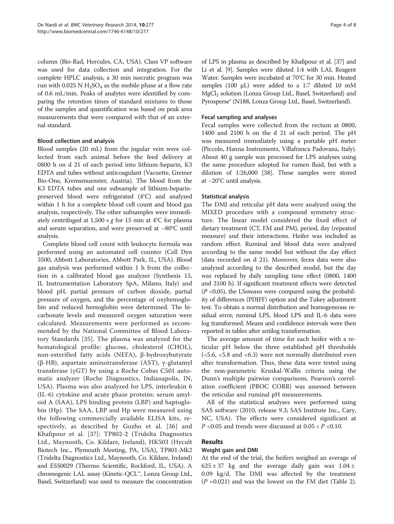column (Bio-Rad, Hercules, CA, USA). Class VP software was used for data collection and integration. For the complete HPLC analysis, a 30 min isocratic program was run with  $0.025$  N H<sub>2</sub>SO<sub>4</sub> as the mobile phase at a flow rate of 0.6 mL/min. Peaks of analytes were identified by comparing the retention times of standard mixtures to those of the samples and quantification was based on peak area measurements that were compared with that of an external standard.

# Blood collection and analysis

Blood samples (20 mL) from the jugular vein were collected from each animal before the feed delivery at 0800 h on d 21 of each period into lithium-heparin, K3 EDTA and tubes without anticoagulant (Vacuette, Greiner Bio-One, Kremsmuenster, Austria). The blood from the K3 EDTA tubes and one subsample of lithium-heparinpreserved blood were refrigerated (4°C) and analyzed within 1 h for a complete blood cell count and blood gas analysis, respectively. The other subsamples were immediately centrifuged at  $1,500 \times g$  for 15 min at 4°C for plasma and serum separation, and were preserved at –80°C until analysis.

Complete blood cell count with leukocyte formula was performed using an automated cell counter (Cell Dyn 3500, Abbott Laboratories, Abbott Park, IL, USA). Blood gas analysis was performed within 1 h from the collection in a calibrated blood gas analyzer (Synthesis 15, IL Instrumentation Laboratory SpA, Milano, Italy) and blood pH, partial pressure of carbon dioxide, partial pressure of oxygen, and the percentage of oxyhemoglobin and reduced hemoglobin were determined. The bicarbonate levels and measured oxygen saturation were calculated. Measurements were performed as recommended by the National Committee of Blood Laboratory Standards [[35](#page-7-0)]. The plasma was analyzed for the hematological profile: glucose, cholesterol (CHOL), non-esterified fatty acids (NEFA), β-hydroxybutyrate (β-HB), aspartate aminotransferase (AST), γ-glutamyl transferase (γGT) by using a Roche Cobas C501 automatic analyzer (Roche Diagnostics, Indianapolis, IN, USA). Plasma was also analyzed for LPS, interleukin 6 (IL-6) cytokine and acute phase proteins: serum amyloid A (SAA), LPS binding protein (LBP) and haptoglobin (Hp). The SAA, LBP and Hp were measured using the following commercially available ELISA kits, respectively, as described by Gozho et al. [[36](#page-7-0)] and Khafipour et al. [[37](#page-7-0)]: TP802-2 (Tridelta Diagnostics Ltd., Maynooth, Co. Kildare, Ireland), HK503 (Hycult Biotech Inc., Plymouth Meeting, PA, USA), TP801-Mk2 (Tridelta Diagnostics Ltd., Maynooth, Co. Kildare, Ireland) and ESS0029 (Thermo Scientific, Rockford, IL, USA). A chromogenic LAL assay (Kinetic-QCL™, Lonza Group Ltd., Basel, Switzerland) was used to measure the concentration of LPS in plasma as described by Khafipour et al. [\[37\]](#page-7-0) and Li et al. [[9\]](#page-6-0). Samples were diluted 1:4 with LAL Reagent Water. Samples were incubated at 70°C for 30 min. Heated samples (100 μL) were added to a 1:7 diluted 10 mM MgCl<sub>2</sub> solution (Lonza Group Ltd., Basel, Switzerland) and Pyrosperse® (N188, Lonza Group Ltd., Basel, Switzerland).

# Fecal sampling and analyses

Fecal samples were collected from the rectum at 0800, 1400 and 2100 h on the d 21 of each period. The pH was measured immediately using a portable pH meter (Piccolo, Hanna Instruments, Villafranca Padovana, Italy). About 40 g sample was processed for LPS analyses using the same procedure adopted for rumen fluid, but with a dilution of 1:26,000 [[38\]](#page-7-0). These samples were stored at −20°C until analysis.

# Statistical analysis

The DMI and reticular pH data were analyzed using the MIXED procedure with a compound symmetry structure. The linear model considered the fixed effect of dietary treatment (CT, FM and PM), period, day (repeated measure) and their interactions. Heifer was included as random effect. Ruminal and blood data were analyzed according to the same model but without the day effect (data recorded on d 21). Moreover, feces data were also analyzed according to the described model, but the day was replaced by daily sampling time effect (0800, 1400 and 2100 h). If significant treatment effects were detected  $(P \le 0.05)$ , the LS*means* were compared using the probability of differences (PDIFF) option and the Tukey adjustment test. To obtain a normal distribution and homogeneous residual error, ruminal LPS, blood LPS and IL-6 data were log transformed. Means and confidence intervals were then reported in tables after antilog transformation.

The average amount of time for each heifer with a reticular pH below the three established pH thresholds (<5.6, <5.8 and <6.3) were not normally distributed even after transformation. Thus, these data were tested using the non-parametric Kruskal-Wallis criteria using the Dunn's multiple pairwise comparisons. Pearson's correlation coefficient (PROC CORR) was assessed between the reticular and ruminal pH measurements.

All of the statistical analyses were performed using SAS software (2010, release 9.3; SAS Institute Inc., Cary, NC, USA). The effects were considered significant at  $P$  <0.05 and trends were discussed at 0.05 <  $P$  <0.10.

# Results

#### Weight gain and DMI

At the end of the trial, the heifers weighed an average of  $625 \pm 37$  kg and the average daily gain was  $1.04 \pm 1.04$ 0.09 kg/d. The DMI was affected by the treatment  $(P = 0.021)$  and was the lowest on the FM diet (Table [2](#page-4-0)).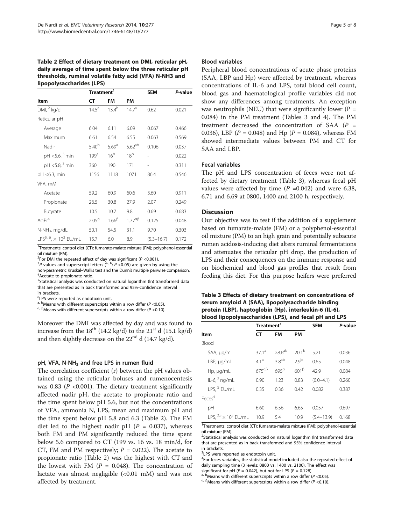<span id="page-4-0"></span>Table 2 Effect of dietary treatment on DMI, reticular pH, daily average of time spent below the three reticular pH thresholds, ruminal volatile fatty acid (VFA) N-NH3 and lipopolysaccharides (LPS)

|                                                      | Treatment <sup>1</sup> |                   |                      | <b>SEM</b>     | P-value |
|------------------------------------------------------|------------------------|-------------------|----------------------|----------------|---------|
| Item                                                 | CТ                     | FM                | PM                   |                |         |
| DMI, 2 kq/d                                          | $14.5^{\circ}$         | $13.4^{b}$        | 14.7 <sup>a</sup>    | 0.62           | 0.021   |
| Reticular pH                                         |                        |                   |                      |                |         |
| Average                                              | 6.04                   | 6.11              | 6.09                 | 0.067          | 0.466   |
| Maximum                                              | 6.61                   | 6.54              | 6.55                 | 0.063          | 0.569   |
| Nadir                                                | $5.40^{b}$             | 5.69 <sup>a</sup> | $5.62^{ab}$          | 0.106          | 0.037   |
| pH <5.6, <sup>3</sup> min                            | 199 <sup>a</sup>       | 16 <sup>b</sup>   | 18 <sup>b</sup>      |                | 0.022   |
| pH <5.8, <sup>3</sup> min                            | 360                    | 190               | 171                  |                | 0.311   |
| $pH < 6.3$ , min                                     | 1156                   | 1118              | 1071                 | 86.4           | 0.546   |
| VFA, mM                                              |                        |                   |                      |                |         |
| Acetate                                              | 59.2                   | 60.9              | 60.6                 | 3.60           | 0.911   |
| Propionate                                           | 26.5                   | 30.8              | 27.9                 | 2.07           | 0.249   |
| Butyrate                                             | 10.5                   | 10.7              | 9.8                  | 0.69           | 0.683   |
| $Ac:Pr^4$                                            | $2.05^\circ$           | $1.66^{\beta}$    | $1.77^{\alpha\beta}$ | 0.125          | 0.048   |
| $N-NH_3$ , mg/dL                                     | 50.1                   | 54.5              | 31.1                 | 9.70           | 0.303   |
| LPS <sup>5, 6</sup> , $\times$ 10 <sup>3</sup> EU/mL | 15.7                   | 6.0               | 8.9                  | $(5.3 - 16.7)$ | 0.172   |

<sup>1</sup>Treatments: control diet (CT); fumarate-malate mixture (FM); polyphenol-essential oil mixture (PM).

<sup>2</sup>For DMI the repeated effect of day was significant (*P <*0.001).<br><sup>3</sup>*P*-values and superscript letters (<sup>a, b</sup>: *P <*0.05) are given by using the

non-parametric Kruskal–Wallis test and the Dunn's multiple pairwise comparison. <sup>4</sup> <sup>4</sup>Acetate to propionate ratio

<sup>5</sup>Statistical analysis was conducted on natural logarithm (ln) transformed data that are presented as ln back transformed and 95%-confidence interval in brackets.

6 LPS were reported as endotoxin unit.

<sup>a, b</sup>Means with different superscripts within a row differ ( $P$  <0.05).

α, βMeans with different superscripts within a row differ ( $P < 0.10$ ).

Moreover the DMI was affected by day and was found to increase from the  $18^{th}$  (14.2 kg/d) to the  $21^{st}$  d (15.1 kg/d) and then slightly decrease on the  $22<sup>nd</sup>$  d (14.7 kg/d).

#### pH, VFA, N-NH<sub>3</sub> and free LPS in rumen fluid

The correlation coefficient (r) between the pH values obtained using the reticular boluses and rumenocentesis was 0.83 ( $P \le 0.001$ ). The dietary treatment significantly affected nadir pH, the acetate to propionate ratio and the time spent below pH 5.6, but not the concentrations of VFA, ammonia N, LPS, mean and maximum pH and the time spent below pH 5.8 and 6.3 (Table 2). The FM diet led to the highest nadir pH ( $P = 0.037$ ), whereas both FM and PM significantly reduced the time spent below 5.6 compared to CT (199 vs. 16 vs. 18 min/d, for CT, FM and PM respectively;  $P = 0.022$ ). The acetate to propionate ratio (Table 2) was the highest with CT and the lowest with FM ( $P = 0.048$ ). The concentration of lactate was almost negligible (<0.01 mM) and was not affected by treatment.

#### Blood variables

Peripheral blood concentrations of acute phase proteins (SAA, LBP and Hp) were affected by treatment, whereas concentrations of IL-6 and LPS, total blood cell count, blood gas and haematological profile variables did not show any differences among treatments. An exception was neutrophils (NEU) that were significantly lower ( $P =$ 0.084) in the PM treatment (Tables 3 and [4\)](#page-5-0). The PM treatment decreased the concentration of SAA  $(P =$ 0.036), LBP ( $P = 0.048$ ) and Hp ( $P = 0.084$ ), whereas FM showed intermediate values between PM and CT for SAA and LBP.

# Fecal variables

The pH and LPS concentration of feces were not affected by dietary treatment (Table 3), whereas fecal pH values were affected by time  $(P = 0.042)$  and were 6.38, 6.71 and 6.69 at 0800, 1400 and 2100 h, respectively.

### **Discussion**

Our objective was to test if the addition of a supplement based on fumarate-malate (FM) or a polyphenol-essential oil mixture (PM) to an high grain and potentially subacute rumen acidosis-inducing diet alters ruminal fermentations and attenuates the reticular pH drop, the production of LPS and their consequences on the immune response and on biochemical and blood gas profiles that result from feeding this diet. For this purpose heifers were preferred

Table 3 Effects of dietary treatment on concentrations of serum amyloid A (SAA), lipopolysaccharide binding protein (LBP), haptoglobin (Hp), interleukin-6 (IL-6), blood lipopolysaccharides (LPS), and fecal pH and LPS

|                                         | Treatment <sup>1</sup> |                    |                   | <b>SEM</b>     | P-value |
|-----------------------------------------|------------------------|--------------------|-------------------|----------------|---------|
| Item                                    | <b>FM</b><br>СT        |                    | <b>PM</b>         |                |         |
| Blood                                   |                        |                    |                   |                |         |
| SAA, µg/mL                              | 37.1 <sup>a</sup>      | 28.6 <sup>ab</sup> | 20.1 <sup>b</sup> | 5.21           | 0.036   |
| $LBP$ , $\mu q/mL$                      | $4.1^{\text{a}}$       | 3.8 <sup>ab</sup>  | 2.9 <sup>b</sup>  | 0.65           | 0.048   |
| Hp, µg/mL                               | $675^{\alpha\beta}$    | $695^\circ$        | $601^{\beta}$     | 42.9           | 0.084   |
| IL-6, $^2$ ng/mL                        | 0.90                   | 1.23               | 0.83              | $(0.0 - 4.1)$  | 0.260   |
| LPS. $3$ EU/mL                          | 0.35                   | 0.36               | 0.42              | 0.082          | 0.387   |
| Feces <sup>4</sup>                      |                        |                    |                   |                |         |
| pH                                      | 6.60                   | 6.56               | 6.65              | 0.057          | 0.697   |
| LPS, ${}^{2,3}$ × 10 <sup>3</sup> EU/mL | 10.9                   | 5.4                | 10.9              | $(5.4 - 13.9)$ | 0.168   |

<sup>1</sup>Treatments: control diet (CT); fumarate-malate mixture (FM); polyphenol-essential oil mixture (PM).

<sup>2</sup>Statistical analysis was conducted on natural logarithm (ln) transformed data that are presented as ln back transformed and 95%-confidence interval in brackets.

<sup>3</sup>LPS were reported as endotoxin unit.

<sup>4</sup>For feces variables, the statistical model included also the repeated effect of daily sampling time (3 levels: 0800 vs. 1400 vs. 2100). The effect was

significant for pH ( $P = 0.042$ ), but not for LPS ( $P = 0.128$ ).<br><sup>a, b</sup>Means with different superscripts within a row differ (P <0.05).

 $\alpha$ ,  $\beta$ Means with different superscripts within a row differ (P <0.10).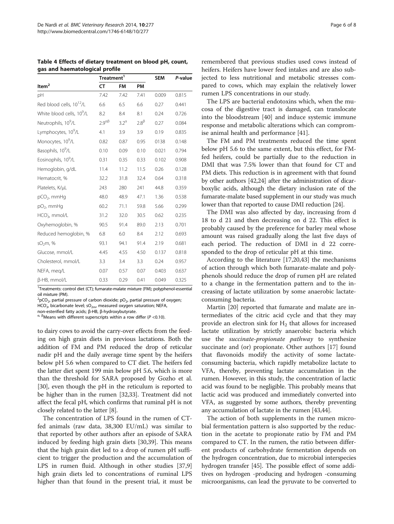|                                       | Treatment <sup>1</sup> |              |               |       | P-value |
|---------------------------------------|------------------------|--------------|---------------|-------|---------|
| Item $2$                              | <b>CT</b>              | <b>FM</b>    | PM            |       |         |
| pH                                    | 7.42                   | 7.42         | 7.41          | 0.009 | 0.815   |
| Red blood cells, 10 <sup>12</sup> /L  | 6.6                    | 6.5          | 6.6           | 0.27  | 0.441   |
| White blood cells, 10 <sup>9</sup> /L | 8.2                    | 8.4          | 8.1           | 0.24  | 0.726   |
| Neutrophils, 10 <sup>9</sup> /L       | $2.9^{\alpha\beta}$    | $3.2^\alpha$ | $2.8^{\beta}$ | 0.27  | 0.084   |
| Lymphocytes, 10 <sup>9</sup> /L       | 4.1                    | 3.9          | 3.9           | 0.19  | 0.835   |
| Monocytes, 10 <sup>9</sup> /L         | 0.82                   | 0.87         | 0.95          | 0138  | 0.148   |
| Basophils, 10 <sup>9</sup> /L         | 0.10                   | 0.09         | 0.10          | 0.021 | 0.794   |
| Eosinophils, 10 <sup>9</sup> /L       | 0.31                   | 0.35         | 0.33          | 0.102 | 0.908   |
| Hemoglobin, g/dL                      | 11.4                   | 11.2         | 11.5          | 0.26  | 0.128   |
| Hematocrit, %                         | 32.2                   | 31.8         | 32.4          | 0.64  | 0.318   |
| Platelets, K/µL                       | 243                    | 280          | 241           | 44.8  | 0.359   |
| pCO <sub>2</sub> , mmHg               | 48.0                   | 48.9         | 47.1          | 1.36  | 0.538   |
| pO <sub>2</sub> , mmHg                | 60.2                   | 71.1         | 59.8          | 5.66  | 0.299   |
| HCO <sub>3</sub> , mmol/L             | 31.2                   | 32.0         | 30.5          | 0.62  | 0.235   |
| Oxyhemoglobin, %                      | 90.5                   | 91.4         | 89.0          | 2.13  | 0.701   |
| Reduced hemoglobin, %                 | 6.8                    | 6.0          | 8.4           | 2.12  | 0.693   |
| SO <sub>2</sub> m, %                  | 93.1                   | 94.1         | 91.4          | 2.19  | 0.681   |
| Glucose, mmol/L                       | 4.45                   | 4.55         | 4.50          | 0.137 | 0.818   |
| Cholesterol, mmol/L                   | 3.3                    | 3.4          | 3.3           | 0.24  | 0.957   |
| NEFA, meg/L                           | 0.07                   | 0.57         | 0.07          | 0.403 | 0.637   |
| β-HB, mmol/L                          | 0.33                   | 0.29         | 0.41          | 0.049 | 0.325   |

<span id="page-5-0"></span>Table 4 Effects of dietary treatment on blood pH, count, gas and haematological profile

<sup>1</sup>Treatments: control diet (CT); fumarate-malate mixture (FM); polyphenol-essential oil mixture (PM).

 $^{2}$ pCO<sub>2</sub>, partial pressure of carbon dioxide; pO<sub>2</sub>, partial pressure of oxygen;

 $HCO_{3}$ , bicarbonate level; sO<sub>2m</sub>, measured oxygen saturation; NEFA,

non-esterified fatty acids; β-HB, β-hydroxybutyrate.

 $\alpha$ ,  $\beta$ Means with different superscripts within a row differ (P <0.10).

to dairy cows to avoid the carry-over effects from the feeding on high grain diets in previous lactations. Both the addition of FM and PM reduced the drop of reticular nadir pH and the daily average time spent by the heifers below pH 5.6 when compared to CT diet. The heifers fed the latter diet spent 199 min below pH 5.6, which is more than the threshold for SARA proposed by Gozho et al. [[30](#page-7-0)], even though the pH in the reticulum is reported to be higher than in the rumen [\[32,33\]](#page-7-0). Treatment did not affect the fecal pH, which confirms that ruminal pH is not closely related to the latter [\[8\]](#page-6-0).

The concentration of LPS found in the rumen of CTfed animals (raw data, 38,300 EU/mL) was similar to that reported by other authors after an episode of SARA induced by feeding high grain diets [[30](#page-7-0),[39](#page-7-0)]. This means that the high grain diet led to a drop of rumen pH sufficient to trigger the production and the accumulation of LPS in rumen fluid. Although in other studies [\[37](#page-7-0)[,9](#page-6-0)] high grain diets led to concentrations of ruminal LPS higher than that found in the present trial, it must be

remembered that previous studies used cows instead of heifers. Heifers have lower feed intakes and are also subjected to less nutritional and metabolic stresses compared to cows, which may explain the relatively lower rumen LPS concentrations in our study.

The LPS are bacterial endotoxins which, when the mucosa of the digestive tract is damaged, can translocate into the bloodstream [\[40](#page-7-0)] and induce systemic immune response and metabolic alterations which can compromise animal health and performance [[41\]](#page-7-0).

The FM and PM treatments reduced the time spent below pH 5.6 to the same extent, but this effect, for FMfed heifers, could be partially due to the reduction in DMI that was 7.5% lower than that found for CT and PM diets. This reduction is in agreement with that found by other authors [\[42,24](#page-7-0)] after the administration of dicarboxylic acids, although the dietary inclusion rate of the fumarate-malate based supplement in our study was much lower than that reported to cause DMI reduction [\[24\]](#page-7-0).

The DMI was also affected by day, increasing from d 18 to d 21 and then decreasing on d 22. This effect is probably caused by the preference for barley meal whose amount was raised gradually along the last five days of each period. The reduction of DMI in d 22 corresponded to the drop of reticular pH at this time.

According to the literature [\[17,20,43\]](#page-7-0) the mechanisms of action through which both fumarate-malate and polyphenols should reduce the drop of rumen pH are related to a change in the fermentation pattern and to the increasing of lactate utilization by some anaerobic lactateconsuming bacteria.

Martin [[20\]](#page-7-0) reported that fumarate and malate are intermediates of the citric acid cycle and that they may provide an electron sink for  $H_2$  that allows for increased lactate utilization by strictly anaerobic bacteria which use the *succinate-propionate pathway* to synthesize succinate and (or) propionate. Other authors [\[17\]](#page-7-0) found that flavonoids modify the activity of some lactateconsuming bacteria, which rapidly metabolize lactate to VFA, thereby, preventing lactate accumulation in the rumen. However, in this study, the concentration of lactic acid was found to be negligible. This probably means that lactic acid was produced and immediately converted into VFA, as suggested by some authors, thereby preventing any accumulation of lactate in the rumen [[43,44\]](#page-7-0).

The action of both supplements in the rumen microbial fermentation pattern is also supported by the reduction in the acetate to propionate ratio by FM and PM compared to CT. In the rumen, the ratio between different products of carbohydrate fermentation depends on the hydrogen concentration, due to microbial interspecies hydrogen transfer [\[45\]](#page-7-0). The possible effect of some additives on hydrogen -producing and hydrogen -consuming microorganisms, can lead the pyruvate to be converted to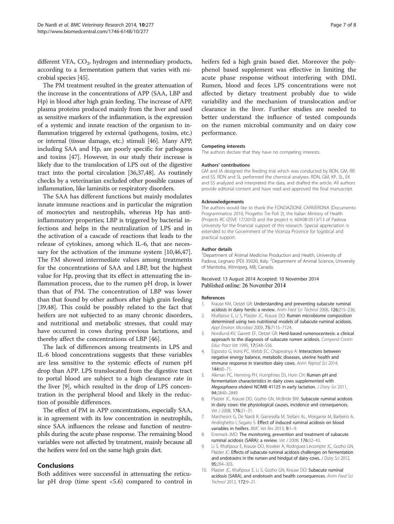<span id="page-6-0"></span>different VFA,  $CO<sub>2</sub>$ , hydrogen and intermediary products, according to a fermentation pattern that varies with microbial species [\[45\]](#page-7-0).

The PM treatment resulted in the greater attenuation of the increase in the concentrations of APP (SAA, LBP and Hp) in blood after high grain feeding. The increase of APP, plasma proteins produced mainly from the liver and used as sensitive markers of the inflammation, is the expression of a systemic and innate reaction of the organism to inflammation triggered by external (pathogens, toxins, etc.) or internal (tissue damage, etc.) stimuli [\[46\]](#page-7-0). Many APP, including SAA and Hp, are poorly specific for pathogens and toxins [[47](#page-7-0)]. However, in our study their increase is likely due to the translocation of LPS out of the digestive tract into the portal circulation [\[36,37,48](#page-7-0)]. As routinely checks by a veterinarian excluded other possible causes of inflammation, like laminitis or respiratory disorders.

The SAA has different functions but mainly modulates innate immune reactions and in particular the migration of monocytes and neutrophils, whereas Hp has antiinflammatory properties; LBP is triggered by bacterial infections and helps in the neutralization of LPS and in the activation of a cascade of reactions that leads to the release of cytokines, among which IL-6, that are neces-sary for the activation of the immune system [10[,46,47](#page-7-0)]. The FM showed intermediate values among treatments for the concentrations of SAA and LBP, but the highest value for Hp, proving that its effect in attenuating the inflammation process, due to the rumen pH drop, is lower than that of PM. The concentration of LBP was lower than that found by other authors after high grain feeding [[39,48\]](#page-7-0). This could be possibly related to the fact that heifers are not subjected to as many chronic disorders, and nutritional and metabolic stresses, that could may have occurred in cows during previous lactations, and thereby affect the concentrations of LBP [\[46](#page-7-0)].

The lack of differences among treatments in LPS and IL-6 blood concentrations suggests that these variables are less sensitive to the systemic effects of rumen pH drop than APP. LPS translocated from the digestive tract to portal blood are subject to a high clearance rate in the liver [9], which resulted in the drop of LPS concentration in the peripheral blood and likely in the reduction of possible differences.

The effect of PM in APP concentrations, especially SAA, is in agreement with its low concentration in neutrophils, since SAA influences the release and function of neutrophils during the acute phase response. The remaining blood variables were not affected by treatment, mainly because all the heifers were fed on the same high grain diet.

#### Conclusions

Both additives were successful in attenuating the reticular pH drop (time spent <5.6) compared to control in heifers fed a high grain based diet. Moreover the polyphenol based supplement was effective in limiting the acute phase response without interfering with DMI. Rumen, blood and feces LPS concentrations were not affected by dietary treatment probably due to wide variability and the mechanism of translocation and/or clearance in the liver. Further studies are needed to better understand the influence of tested compounds on the rumen microbial community and on dairy cow performance.

#### Competing interests

The authors declare that they have no competing interests.

#### Authors' contributions

GM and IA designed the feeding trial which was conducted by RDN, GM, RR and SS. RDN and SL performed the chemical analyses. RDN, GM, KP, SL, EK and SS analyzed and interpreted the data, and drafted the article. All authors provide editorial content and have read and approved the final manuscript.

#### Acknowledgements

The authors would like to thank the FONDAZIONE CARIVERONA (Documento Programmatico 2010, Progetto Tre Poli 2), the Italian Ministry of Health (Projects RC-IZSVE 17/2010) and the project n. 60A08-0513/13 of Padova University for the financial support of this research. Special appreciation is extended to the Government of the Vicenza Province for logistical and practical support.

#### Author details

<sup>1</sup>Department of Animal Medicine Production and Health, University of Padova, Legnaro (PD) 35020, Italy. <sup>2</sup>Department of Animal Science, University of Manitoba, Winnipeg, MB, Canada.

#### Received: 13 August 2014 Accepted: 10 November 2014 Published online: 26 November 2014

#### References

- 1. Krause KM, Oetzel GR: Understanding and preventing subacute ruminal acidosis in dairy herds: a review. Anim Feed Sci Technol 2006, 126:215–236.
- 2. Khafipour E, Li S, Plaizier JC, Krause DO: Rumen microbiome composition determined using two nutritional models of subacute ruminal acidosis. Appl Environ Microbiol 2009, 75:7115–7124.
- 3. Nordlund KV, Garrett EF, Oetzel GR: Herd-based rumenocentesis: a clinical approach to the diagnosis of subacute rumen acidosis. Compend Contin Educ Pract Vet 1995, 17:S48–S56.
- 4. Esposito G, Irons PC, Webb EC, Chapwanya A: Interactions between negative energy balance, metabolic diseases, uterine health and immune response in transition dairy cows. Anim Reprod Sci 2014, 144:60–71.
- 5. Aikman PC, Henning PH, Humphries DJ, Horn CH: Rumen pH and fermentation characteristics in dairy cows supplemented with Megasphaera elsdenii NCIMB 41125 in early lactation. J Dairy Sci 2011, 94:2840–2849.
- 6. Plaizier JC, Krause DO, Gozho GN, McBride BW: Subacute ruminal acidosis in dairy cows: the physiological causes, incidence and consequences. Vet J 2008, 176:21–31.
- 7. Marchesini G, De Nardi R, Gianesella M, Stefani AL, Morgante M, Barberio A, Andrighetto I, Segato S: Effect of induced ruminal acidosis on blood variables in heifers. BMC Vet Res 2013, 9:1–9.
- 8. Enemark JMD: The monitoring, prevention and treatment of subacute ruminal acidosis (SARA): a review. Vet J 2008, 176:32–43.
- 9. Li S, Khafipour E, Krause DO, Kroeker A, Rodriguez-Lecompte JC, Gozho GN, Plaizier JC: Effects of subacute ruminal acidosis challenges on fermentation and endotoxins in the rumen and hindgut of dairy cows. J Dairy Sci 2012, 95:294–303.
- 10. Plaizier JC, Khafipour E, Li S, Gozho GN, Krause DO: Subacute ruminal acidosis (SARA), and endotoxin and health consequences. Anim Feed Sci Technol 2012, 172:9–21.